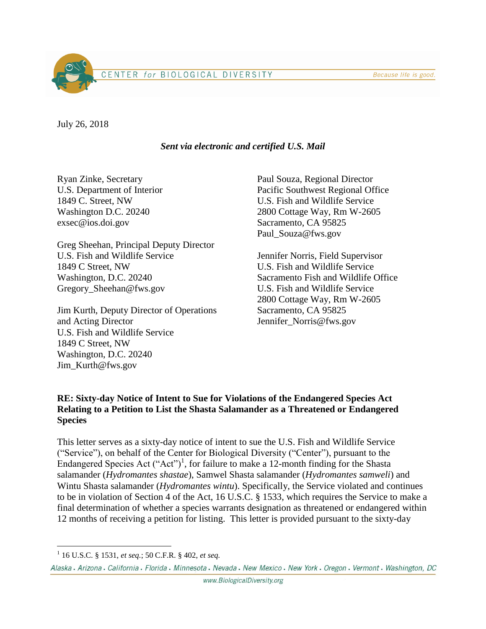Because life is good.



July 26, 2018

*Sent via electronic and certified U.S. Mail*

Ryan Zinke, Secretary U.S. Department of Interior 1849 C. Street, NW Washington D.C. 20240 exsec@ios.doi.gov

Greg Sheehan, Principal Deputy Director U.S. Fish and Wildlife Service 1849 C Street, NW Washington, D.C. 20240 Gregory\_Sheehan@fws.gov

Jim Kurth, Deputy Director of Operations and Acting Director U.S. Fish and Wildlife Service 1849 C Street, NW Washington, D.C. 20240 Jim\_Kurth@fws.gov

Paul Souza, Regional Director Pacific Southwest Regional Office U.S. Fish and Wildlife Service 2800 Cottage Way, Rm W-2605 Sacramento, CA 95825 Paul\_Souza@fws.gov

Jennifer Norris, Field Supervisor U.S. Fish and Wildlife Service Sacramento Fish and Wildlife Office U.S. Fish and Wildlife Service 2800 Cottage Way, Rm W-2605 Sacramento, CA 95825 Jennifer\_Norris@fws.gov

## **RE: Sixty-day Notice of Intent to Sue for Violations of the Endangered Species Act Relating to a Petition to List the Shasta Salamander as a Threatened or Endangered Species**

This letter serves as a sixty-day notice of intent to sue the U.S. Fish and Wildlife Service ("Service"), on behalf of the Center for Biological Diversity ("Center"), pursuant to the Endangered Species Act  $("Act")^1$ , for failure to make a 12-month finding for the Shasta salamander (*Hydromantes shastae*), Samwel Shasta salamander (*Hydromantes samweli*) and Wintu Shasta salamander (*Hydromantes wintu*). Specifically, the Service violated and continues to be in violation of Section 4 of the Act, 16 U.S.C. § 1533, which requires the Service to make a final determination of whether a species warrants designation as threatened or endangered within 12 months of receiving a petition for listing. This letter is provided pursuant to the sixty-day

 $\overline{a}$ 1 16 U.S.C. § 1531, *et seq.*; 50 C.F.R. § 402, *et seq.*

Alaska · Arizona · California · Florida · Minnesota · Nevada · New Mexico · New York · Oregon · Vermont · Washington, DC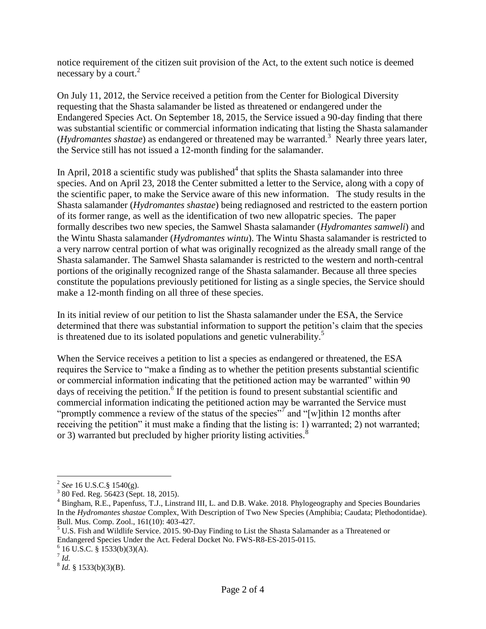notice requirement of the citizen suit provision of the Act, to the extent such notice is deemed necessary by a court.<sup>2</sup>

On July 11, 2012, the Service received a petition from the Center for Biological Diversity requesting that the Shasta salamander be listed as threatened or endangered under the Endangered Species Act. On September 18, 2015, the Service issued a 90-day finding that there was substantial scientific or commercial information indicating that listing the Shasta salamander (*Hydromantes shastae*) as endangered or threatened may be warranted.<sup>3</sup> Nearly three years later, the Service still has not issued a 12-month finding for the salamander.

In April, 2018 a scientific study was published $4$  that splits the Shasta salamander into three species. And on April 23, 2018 the Center submitted a letter to the Service, along with a copy of the scientific paper, to make the Service aware of this new information. The study results in the Shasta salamander (*Hydromantes shastae*) being rediagnosed and restricted to the eastern portion of its former range, as well as the identification of two new allopatric species. The paper formally describes two new species, the Samwel Shasta salamander (*Hydromantes samweli*) and the Wintu Shasta salamander (*Hydromantes wintu*). The Wintu Shasta salamander is restricted to a very narrow central portion of what was originally recognized as the already small range of the Shasta salamander. The Samwel Shasta salamander is restricted to the western and north-central portions of the originally recognized range of the Shasta salamander. Because all three species constitute the populations previously petitioned for listing as a single species, the Service should make a 12-month finding on all three of these species.

In its initial review of our petition to list the Shasta salamander under the ESA, the Service determined that there was substantial information to support the petition's claim that the species is threatened due to its isolated populations and genetic vulnerability.<sup>5</sup>

When the Service receives a petition to list a species as endangered or threatened, the ESA requires the Service to "make a finding as to whether the petition presents substantial scientific or commercial information indicating that the petitioned action may be warranted" within 90 days of receiving the petition.<sup>6</sup> If the petition is found to present substantial scientific and commercial information indicating the petitioned action may be warranted the Service must "promptly commence a review of the status of the species"<sup>7</sup> and "[w]ithin 12 months after receiving the petition" it must make a finding that the listing is: 1) warranted; 2) not warranted; or 3) warranted but precluded by higher priority listing activities.<sup>8</sup>

 $\overline{a}$ 

<sup>2</sup> *See* 16 U.S.C.§ 1540(g).

<sup>3</sup> 80 Fed. Reg. 56423 (Sept. 18, 2015).

<sup>&</sup>lt;sup>4</sup> Bingham, R.E., Papenfuss, T.J., Linstrand III, L. and D.B. Wake. 2018. Phylogeography and Species Boundaries In the *Hydromantes shastae* Complex, With Description of Two New Species (Amphibia; Caudata; Plethodontidae). Bull. Mus. Comp. Zool., 161(10): 403-427.

<sup>5</sup> U.S. Fish and Wildlife Service. 2015. 90-Day Finding to List the Shasta Salamander as a Threatened or Endangered Species Under the Act. Federal Docket No. FWS-R8-ES-2015-0115.

 $6$  16 U.S.C. § 1533(b)(3)(A).

<sup>7</sup> *Id.*

 $^{8}$  *Id.* § 1533(b)(3)(B).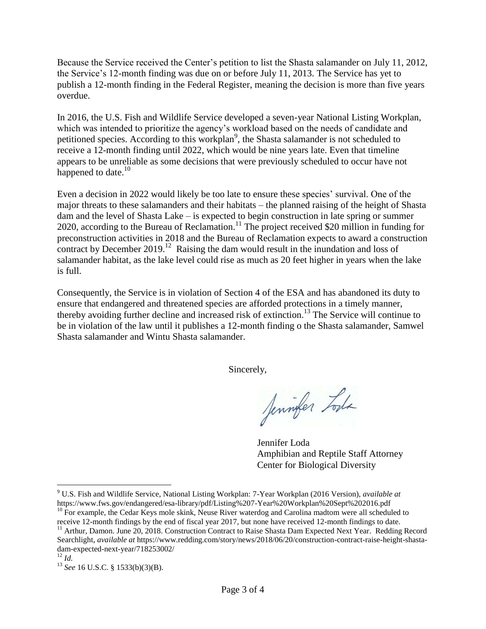Because the Service received the Center's petition to list the Shasta salamander on July 11, 2012, the Service's 12-month finding was due on or before July 11, 2013. The Service has yet to publish a 12-month finding in the Federal Register, meaning the decision is more than five years overdue.

In 2016, the U.S. Fish and Wildlife Service developed a seven-year National Listing Workplan, which was intended to prioritize the agency's workload based on the needs of candidate and petitioned species. According to this workplan<sup>9</sup>, the Shasta salamander is not scheduled to receive a 12-month finding until 2022, which would be nine years late. Even that timeline appears to be unreliable as some decisions that were previously scheduled to occur have not happened to date. $10$ 

Even a decision in 2022 would likely be too late to ensure these species' survival. One of the major threats to these salamanders and their habitats – the planned raising of the height of Shasta dam and the level of Shasta Lake – is expected to begin construction in late spring or summer 2020, according to the Bureau of Reclamation. <sup>11</sup> The project received \$20 million in funding for preconstruction activities in 2018 and the Bureau of Reclamation expects to award a construction contract by December 2019.<sup>12</sup> Raising the dam would result in the inundation and loss of salamander habitat, as the lake level could rise as much as 20 feet higher in years when the lake is full.

Consequently, the Service is in violation of Section 4 of the ESA and has abandoned its duty to ensure that endangered and threatened species are afforded protections in a timely manner, thereby avoiding further decline and increased risk of extinction.<sup>13</sup> The Service will continue to be in violation of the law until it publishes a 12-month finding o the Shasta salamander, Samwel Shasta salamander and Wintu Shasta salamander.

Sincerely,

Jennifer Lost

Jennifer Loda Amphibian and Reptile Staff Attorney Center for Biological Diversity

 $\overline{a}$ 

<sup>9</sup> U.S. Fish and Wildlife Service, National Listing Workplan: 7-Year Workplan (2016 Version), *available at* https://www.fws.gov/endangered/esa-library/pdf/Listing%207-Year%20Workplan%20Sept%202016.pdf  $10$  For example, the Cedar Keys mole skink, Neuse River waterdog and Carolina madtom were all scheduled to

receive 12-month findings by the end of fiscal year 2017, but none have received 12-month findings to date. <sup>11</sup> Arthur, Damon. June 20, 2018. Construction Contract to Raise Shasta Dam Expected Next Year. Redding Record Searchlight, *available at* https://www.redding.com/story/news/2018/06/20/construction-contract-raise-height-shasta-

dam-expected-next-year/718253002/

 $^{12}$  *Id.* 

<sup>13</sup> *See* 16 U.S.C. § 1533(b)(3)(B).